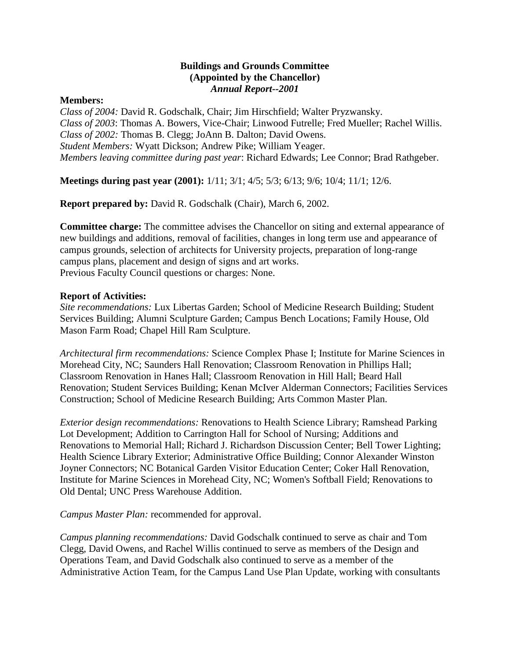## **Buildings and Grounds Committee (Appointed by the Chancellor)** *Annual Report--2001*

## **Members:**

*Class of 2004:* David R. Godschalk, Chair; Jim Hirschfield; Walter Pryzwansky. *Class of 2003*: Thomas A. Bowers, Vice-Chair; Linwood Futrelle; Fred Mueller; Rachel Willis. *Class of 2002:* Thomas B. Clegg; JoAnn B. Dalton; David Owens. *Student Members:* Wyatt Dickson; Andrew Pike; William Yeager. *Members leaving committee during past year*: Richard Edwards; Lee Connor; Brad Rathgeber.

**Meetings during past year (2001):** 1/11; 3/1; 4/5; 5/3; 6/13; 9/6; 10/4; 11/1; 12/6.

**Report prepared by:** David R. Godschalk (Chair), March 6, 2002.

**Committee charge:** The committee advises the Chancellor on siting and external appearance of new buildings and additions, removal of facilities, changes in long term use and appearance of campus grounds, selection of architects for University projects, preparation of long-range campus plans, placement and design of signs and art works. Previous Faculty Council questions or charges: None.

## **Report of Activities:**

*Site recommendations:* Lux Libertas Garden; School of Medicine Research Building; Student Services Building; Alumni Sculpture Garden; Campus Bench Locations; Family House, Old Mason Farm Road; Chapel Hill Ram Sculpture.

*Architectural firm recommendations:* Science Complex Phase I; Institute for Marine Sciences in Morehead City, NC; Saunders Hall Renovation; Classroom Renovation in Phillips Hall; Classroom Renovation in Hanes Hall; Classroom Renovation in Hill Hall; Beard Hall Renovation; Student Services Building; Kenan McIver Alderman Connectors; Facilities Services Construction; School of Medicine Research Building; Arts Common Master Plan.

*Exterior design recommendations:* Renovations to Health Science Library; Ramshead Parking Lot Development; Addition to Carrington Hall for School of Nursing; Additions and Renovations to Memorial Hall; Richard J. Richardson Discussion Center; Bell Tower Lighting; Health Science Library Exterior; Administrative Office Building; Connor Alexander Winston Joyner Connectors; NC Botanical Garden Visitor Education Center; Coker Hall Renovation, Institute for Marine Sciences in Morehead City, NC; Women's Softball Field; Renovations to Old Dental; UNC Press Warehouse Addition.

*Campus Master Plan:* recommended for approval.

*Campus planning recommendations:* David Godschalk continued to serve as chair and Tom Clegg, David Owens, and Rachel Willis continued to serve as members of the Design and Operations Team, and David Godschalk also continued to serve as a member of the Administrative Action Team, for the Campus Land Use Plan Update, working with consultants